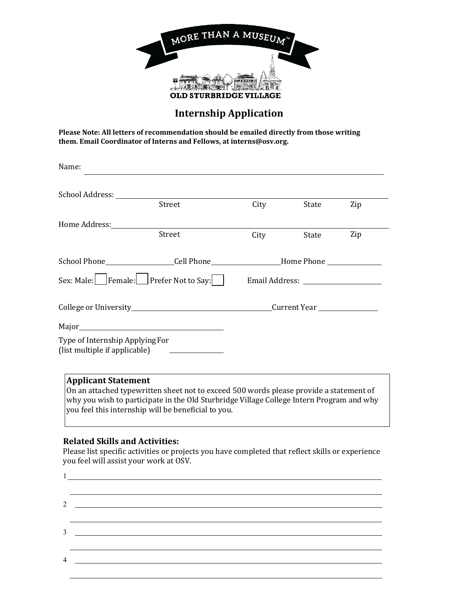

## **Internship Application**

**Please Note: All letters of recommendation should be emailed directly from those writing them. Email Coordinator of Interns and Fellows, at interns@osv.org.** 

| School Address: North Management of the School Address:                                                          | Street                                                                                 | City                                  | State | Zip |
|------------------------------------------------------------------------------------------------------------------|----------------------------------------------------------------------------------------|---------------------------------------|-------|-----|
| Home Address: North Management of the Management of the Management of the Management of the Management of the Ma |                                                                                        |                                       |       |     |
|                                                                                                                  | Street                                                                                 | City                                  | State | Zip |
|                                                                                                                  | School Phone____________________Cell Phone___________________Home Phone ______________ |                                       |       |     |
| Sex: Male: Female: Prefer Not to Say:                                                                            |                                                                                        | Email Address: ______________________ |       |     |
|                                                                                                                  |                                                                                        |                                       |       |     |
|                                                                                                                  |                                                                                        |                                       |       |     |
| Type of Internship Applying For                                                                                  | (list multiple if applicable) ______________                                           |                                       |       |     |

why you wish to participate in the Old Sturbridge Village College Intern Program and why you feel this internship will be beneficial to you.

## **Related Skills and Activities:**

1

Please list specific activities or projects you have completed that reflect skills or experience you feel will assist your work at OSV.

2 a <u>in the contract of the contract of the contract of the contract of the contract of the contract of the contract of the contract of the contract of the contract of the contract of the contract of the contract of the co</u> 3 4